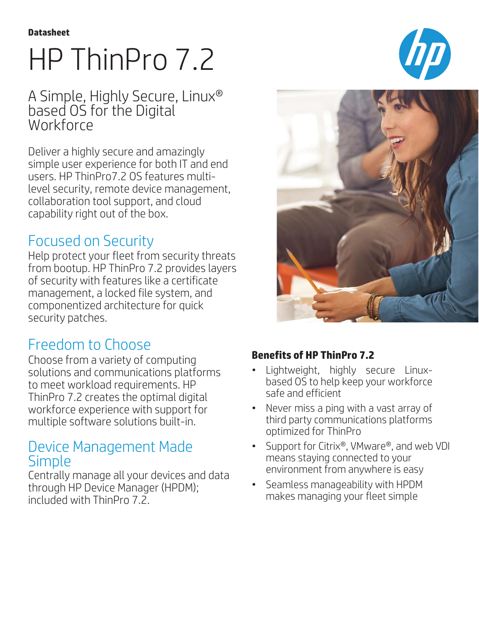# HP ThinPro 7.2

## A Simple, Highly Secure, Linux® based OS for the Digital **Workforce**

Deliver a highly secure and amazingly simple user experience for both IT and end users. HP ThinPro7.2 OS features multilevel security, remote device management, collaboration tool support, and cloud capability right out of the box.

# Focused on Security

Help protect your fleet from security threats from bootup. HP ThinPro 7.2 provides layers of security with features like a certificate management, a locked file system, and componentized architecture for quick security patches.

# Freedom to Choose

Choose from a variety of computing solutions and communications platforms to meet workload requirements. HP ThinPro 7.2 creates the optimal digital workforce experience with support for multiple software solutions built-in.

### Device Management Made Simple

Centrally manage all your devices and data through HP Device Manager (HPDM); included with ThinPro 7.2.





#### **Benefits of HP ThinPro 7.2**

- Lightweight, highly secure Linuxbased OS to help keep your workforce safe and efficient
- Never miss a ping with a vast array of third party communications platforms optimized for ThinPro
- Support for Citrix®, VMware®, and web VDI means staying connected to your environment from anywhere is easy
- Seamless manageability with HPDM makes managing your fleet simple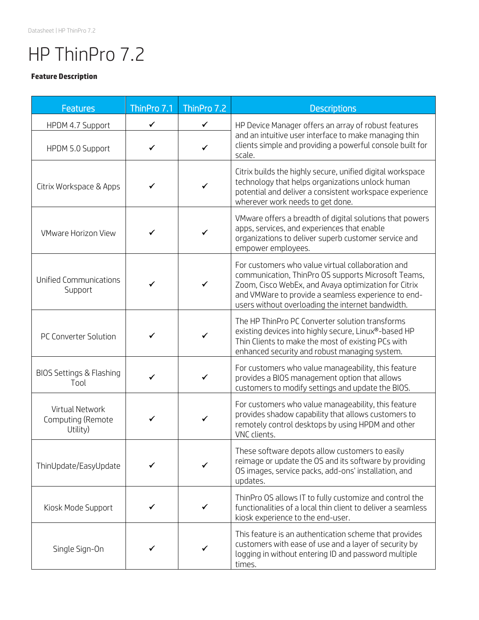# HP ThinPro 7.2

#### **Feature Description**

| <b>Features</b>                                  | ThinPro 7.1  | ThinPro 7.2  | <b>Descriptions</b>                                                                                                                                                                                                                                                          |  |
|--------------------------------------------------|--------------|--------------|------------------------------------------------------------------------------------------------------------------------------------------------------------------------------------------------------------------------------------------------------------------------------|--|
| HPDM 4.7 Support                                 | $\checkmark$ | ✓            | HP Device Manager offers an array of robust features<br>and an intuitive user interface to make managing thin<br>clients simple and providing a powerful console built for<br>scale.                                                                                         |  |
| HPDM 5.0 Support                                 | $\checkmark$ | $\checkmark$ |                                                                                                                                                                                                                                                                              |  |
| Citrix Workspace & Apps                          | ✓            |              | Citrix builds the highly secure, unified digital workspace<br>technology that helps organizations unlock human<br>potential and deliver a consistent workspace experience<br>wherever work needs to get done.                                                                |  |
| <b>VMware Horizon View</b>                       | ✓            |              | VMware offers a breadth of digital solutions that powers<br>apps, services, and experiences that enable<br>organizations to deliver superb customer service and<br>empower employees.                                                                                        |  |
| <b>Unified Communications</b><br>Support         | ✓            | $\checkmark$ | For customers who value virtual collaboration and<br>communication, ThinPro OS supports Microsoft Teams,<br>Zoom, Cisco WebEx, and Avaya optimization for Citrix<br>and VMWare to provide a seamless experience to end-<br>users without overloading the internet bandwidth. |  |
| PC Converter Solution                            | ✓            | ✓            | The HP ThinPro PC Converter solution transforms<br>existing devices into highly secure, Linux®-based HP<br>Thin Clients to make the most of existing PCs with<br>enhanced security and robust managing system.                                                               |  |
| BIOS Settings & Flashing<br>Tool                 | $\checkmark$ | $\checkmark$ | For customers who value manageability, this feature<br>provides a BIOS management option that allows<br>customers to modify settings and update the BIOS.                                                                                                                    |  |
| Virtual Network<br>Computing (Remote<br>Utility) | ✓            | ✓            | For customers who value manageability, this feature<br>provides shadow capability that allows customers to<br>remotely control desktops by using HPDM and other<br>VNC clients.                                                                                              |  |
| ThinUpdate/EasyUpdate                            |              |              | These software depots allow customers to easily<br>reimage or update the OS and its software by providing<br>OS images, service packs, add-ons' installation, and<br>updates.                                                                                                |  |
| Kiosk Mode Support                               | ✓            |              | ThinPro OS allows IT to fully customize and control the<br>functionalities of a local thin client to deliver a seamless<br>kiosk experience to the end-user.                                                                                                                 |  |
| Single Sign-On                                   | ✔            |              | This feature is an authentication scheme that provides<br>customers with ease of use and a layer of security by<br>logging in without entering ID and password multiple<br>times.                                                                                            |  |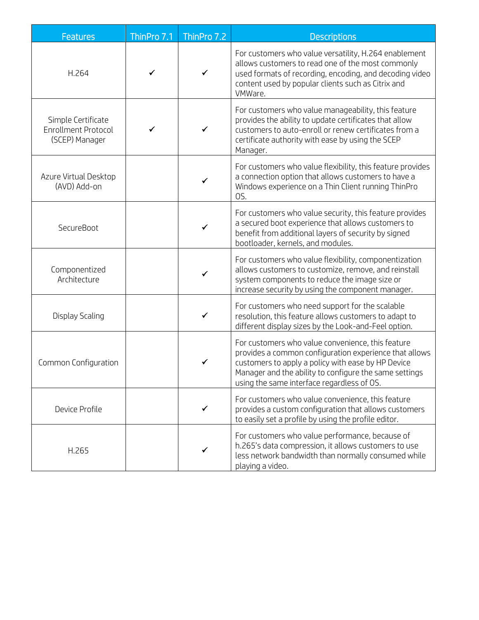| <b>Features</b>                                                    | ThinPro 7.1 | ThinPro 7.2  | <b>Descriptions</b>                                                                                                                                                                                                                                                       |  |
|--------------------------------------------------------------------|-------------|--------------|---------------------------------------------------------------------------------------------------------------------------------------------------------------------------------------------------------------------------------------------------------------------------|--|
| H.264                                                              | ✓           | ✓            | For customers who value versatility, H.264 enablement<br>allows customers to read one of the most commonly<br>used formats of recording, encoding, and decoding video<br>content used by popular clients such as Citrix and<br>VMWare.                                    |  |
| Simple Certificate<br><b>Enrollment Protocol</b><br>(SCEP) Manager | ✓           | $\checkmark$ | For customers who value manageability, this feature<br>provides the ability to update certificates that allow<br>customers to auto-enroll or renew certificates from a<br>certificate authority with ease by using the SCEP<br>Manager.                                   |  |
| Azure Virtual Desktop<br>(AVD) Add-on                              |             | ✓            | For customers who value flexibility, this feature provides<br>a connection option that allows customers to have a<br>Windows experience on a Thin Client running ThinPro<br>OS.                                                                                           |  |
| SecureBoot                                                         |             | ✓            | For customers who value security, this feature provides<br>a secured boot experience that allows customers to<br>benefit from additional layers of security by signed<br>bootloader, kernels, and modules.                                                                |  |
| Componentized<br>Architecture                                      |             | ✓            | For customers who value flexibility, componentization<br>allows customers to customize, remove, and reinstall<br>system components to reduce the image size or<br>increase security by using the component manager.                                                       |  |
| Display Scaling                                                    |             | ✓            | For customers who need support for the scalable<br>resolution, this feature allows customers to adapt to<br>different display sizes by the Look-and-Feel option.                                                                                                          |  |
| Common Configuration                                               |             | $\checkmark$ | For customers who value convenience, this feature<br>provides a common configuration experience that allows<br>customers to apply a policy with ease by HP Device<br>Manager and the ability to configure the same settings<br>using the same interface regardless of OS. |  |
| Device Profile                                                     |             | ✓            | For customers who value convenience, this feature<br>provides a custom configuration that allows customers<br>to easily set a profile by using the profile editor.                                                                                                        |  |
| H.265                                                              |             | ✓            | For customers who value performance, because of<br>h.265's data compression, it allows customers to use<br>less network bandwidth than normally consumed while<br>playing a video.                                                                                        |  |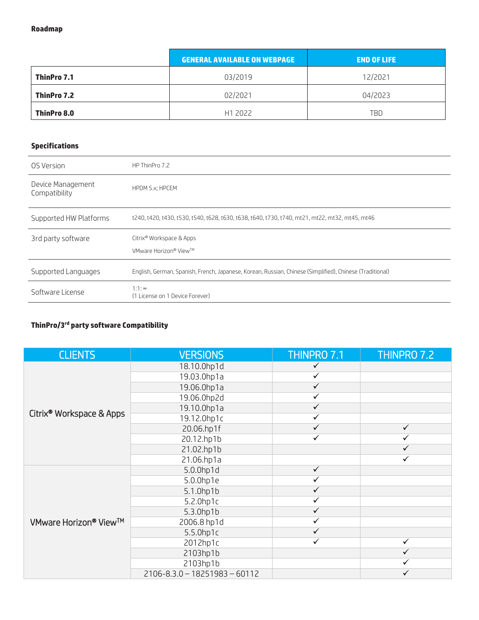|             | <b>GENERAL AVAILABLE ON WEBPAGE</b> | <b>END OF LIFE</b> |
|-------------|-------------------------------------|--------------------|
| ThinPro 7.1 | 03/2019                             | 12/2021            |
| ThinPro 7.2 | 02/2021                             | 04/2023            |
| ThinPro 8.0 | H1 2022                             | TBD                |

#### **Specifications**

| OS Version                         | HP ThinPro 7.2                                                                                           |
|------------------------------------|----------------------------------------------------------------------------------------------------------|
| Device Management<br>Compatibility | HPDM 5.x; HPCEM                                                                                          |
| Supported HW Platforms             | t240, t420, t430, t530, t540, t628, t630, t638, t640, t730, t740, mt21, mt22, mt32, mt45, mt46           |
| 3rd party software                 | Citrix <sup>®</sup> Workspace & Apps<br>VMware Horizon® View™                                            |
| Supported Languages                | English, German, Spanish, French, Japanese, Korean, Russian, Chinese (Simplified), Chinese (Traditional) |
| Software License                   | $1:1:\infty$<br>(1 License on 1 Device Forever)                                                          |

#### **ThinPro/3rd party software Compatibility**

| <b>CLIENTS</b>                       | <b>VERSIONS</b>                   | THINPRO 7.1  | THINPRO 7.2  |
|--------------------------------------|-----------------------------------|--------------|--------------|
| Citrix <sup>®</sup> Workspace & Apps | 18.10.0hp1d                       | $\checkmark$ |              |
|                                      | 19.03.0hp1a                       | $\checkmark$ |              |
|                                      | 19.06.0hp1a                       | $\checkmark$ |              |
|                                      | 19.06.0hp2d                       | ✓            |              |
|                                      | 19.10.0hp1a                       | $\checkmark$ |              |
|                                      | 19.12.0hp1c                       | ✓            |              |
|                                      | 20.06.hp1f                        | $\checkmark$ | $\checkmark$ |
|                                      | 20.12.hp1b                        | ✓            | ✓            |
|                                      | 21.02.hp1b                        |              | ✓            |
|                                      | 21.06.hp1a                        |              | $\checkmark$ |
|                                      | 5.0.0hp1d                         | $\checkmark$ |              |
|                                      | 5.0.0hp1e                         | ✓            |              |
|                                      | 5.1.0hp1b                         | $\checkmark$ |              |
| VMware Horizon <sup>®</sup> View™    | 5.2.0hp1c                         | ✓            |              |
|                                      | 5.3.0hp1b                         | $\checkmark$ |              |
|                                      | 2006.8 hp1d                       | $\checkmark$ |              |
|                                      | $5.5.0$ hp1c                      | ✓            |              |
|                                      | 2012hp1c                          | ✓            | $\checkmark$ |
|                                      | 2103hp1b                          |              | $\checkmark$ |
|                                      | 2103hp1b                          |              |              |
|                                      | $2106 - 8.3.0 - 18251983 - 60112$ |              |              |